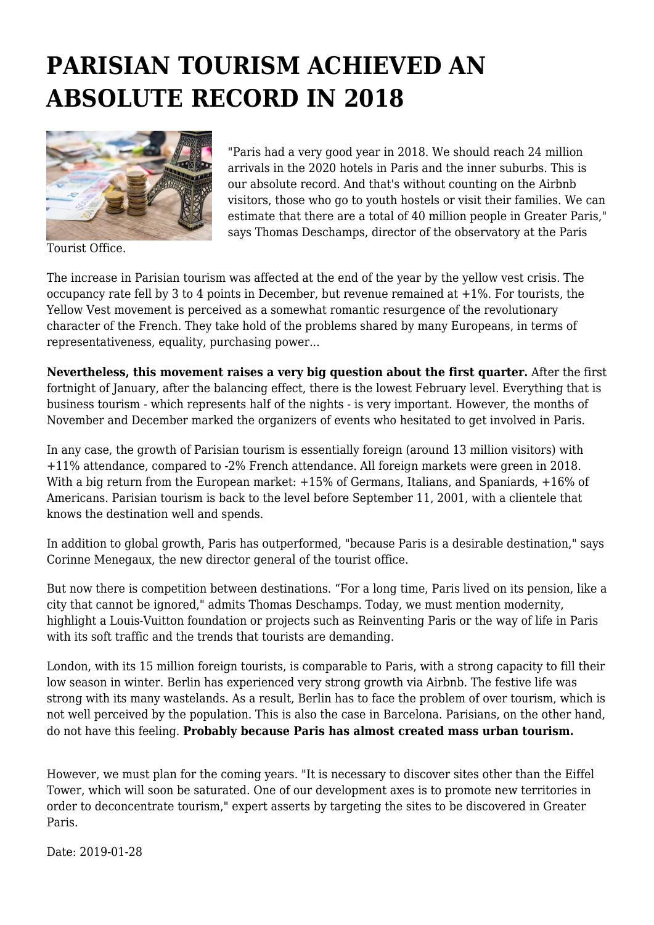## **PARISIAN TOURISM ACHIEVED AN ABSOLUTE RECORD IN 2018**



Tourist Office.

"Paris had a very good year in 2018. We should reach 24 million arrivals in the 2020 hotels in Paris and the inner suburbs. This is our absolute record. And that's without counting on the Airbnb visitors, those who go to youth hostels or visit their families. We can estimate that there are a total of 40 million people in Greater Paris," says Thomas Deschamps, director of the observatory at the Paris

The increase in Parisian tourism was affected at the end of the year by the yellow vest crisis. The occupancy rate fell by 3 to 4 points in December, but revenue remained at  $+1\%$ . For tourists, the Yellow Vest movement is perceived as a somewhat romantic resurgence of the revolutionary character of the French. They take hold of the problems shared by many Europeans, in terms of representativeness, equality, purchasing power...

**Nevertheless, this movement raises a very big question about the first quarter.** After the first fortnight of January, after the balancing effect, there is the lowest February level. Everything that is business tourism - which represents half of the nights - is very important. However, the months of November and December marked the organizers of events who hesitated to get involved in Paris.

In any case, the growth of Parisian tourism is essentially foreign (around 13 million visitors) with +11% attendance, compared to -2% French attendance. All foreign markets were green in 2018. With a big return from the European market:  $+15%$  of Germans, Italians, and Spaniards,  $+16%$  of Americans. Parisian tourism is back to the level before September 11, 2001, with a clientele that knows the destination well and spends.

In addition to global growth, Paris has outperformed, "because Paris is a desirable destination," says Corinne Menegaux, the new director general of the tourist office.

But now there is competition between destinations. "For a long time, Paris lived on its pension, like a city that cannot be ignored," admits Thomas Deschamps. Today, we must mention modernity, highlight a Louis-Vuitton foundation or projects such as Reinventing Paris or the way of life in Paris with its soft traffic and the trends that tourists are demanding.

London, with its 15 million foreign tourists, is comparable to Paris, with a strong capacity to fill their low season in winter. Berlin has experienced very strong growth via Airbnb. The festive life was strong with its many wastelands. As a result, Berlin has to face the problem of over tourism, which is not well perceived by the population. This is also the case in Barcelona. Parisians, on the other hand, do not have this feeling. **Probably because Paris has almost created mass urban tourism.**

However, we must plan for the coming years. "It is necessary to discover sites other than the Eiffel Tower, which will soon be saturated. One of our development axes is to promote new territories in order to deconcentrate tourism," expert asserts by targeting the sites to be discovered in Greater Paris.

Date: 2019-01-28